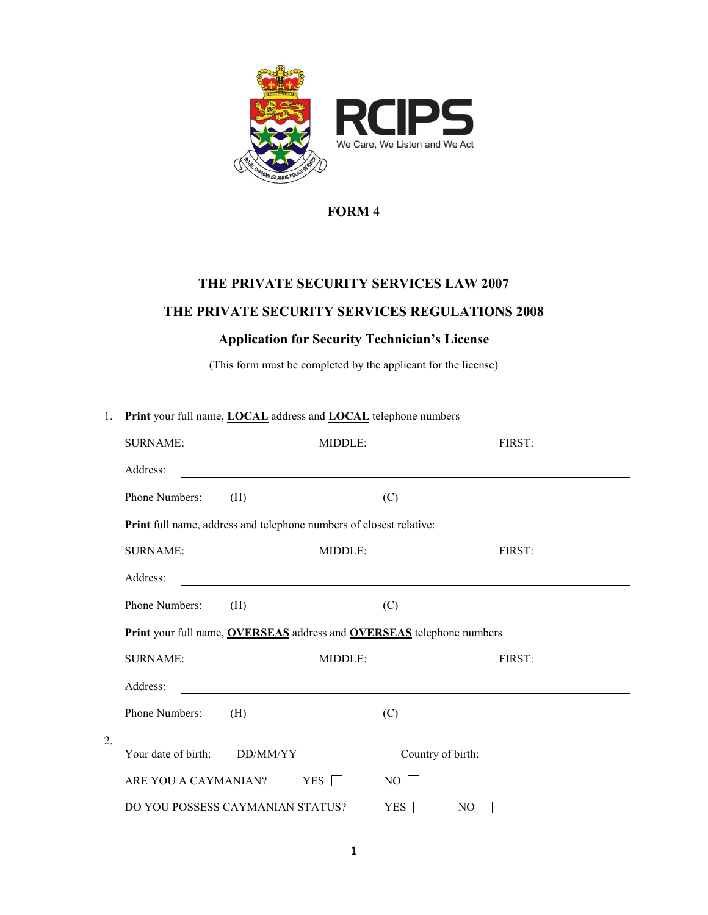

## **FORM 4**

# **THE PRIVATE SECURITY SERVICES LAW 2007**

### **THE PRIVATE SECURITY SERVICES REGULATIONS 2008**

### **Application for Security Technician's License**

(This form must be completed by the applicant for the license)

| 1.               | Print your full name, <b>LOCAL</b> address and <b>LOCAL</b> telephone numbers |                |  |             |                                                                                                                                                                                                                                                                                                                                                                                   |  |
|------------------|-------------------------------------------------------------------------------|----------------|--|-------------|-----------------------------------------------------------------------------------------------------------------------------------------------------------------------------------------------------------------------------------------------------------------------------------------------------------------------------------------------------------------------------------|--|
|                  | <b>SURNAME:</b>                                                               | MIDDLE: FIRST: |  |             |                                                                                                                                                                                                                                                                                                                                                                                   |  |
|                  | Address:                                                                      |                |  |             |                                                                                                                                                                                                                                                                                                                                                                                   |  |
|                  | Phone Numbers:                                                                |                |  |             | $(H)$ (C) $\qquad \qquad (C)$                                                                                                                                                                                                                                                                                                                                                     |  |
|                  | Print full name, address and telephone numbers of closest relative:           |                |  |             |                                                                                                                                                                                                                                                                                                                                                                                   |  |
|                  |                                                                               |                |  |             |                                                                                                                                                                                                                                                                                                                                                                                   |  |
|                  | Address:                                                                      |                |  |             | <u> 1989 - Johann John Stone, Amerikaansk politiker (* 1905)</u>                                                                                                                                                                                                                                                                                                                  |  |
|                  | Phone Numbers:                                                                |                |  |             |                                                                                                                                                                                                                                                                                                                                                                                   |  |
|                  | Print your full name, OVERSEAS address and OVERSEAS telephone numbers         |                |  |             |                                                                                                                                                                                                                                                                                                                                                                                   |  |
|                  |                                                                               |                |  |             |                                                                                                                                                                                                                                                                                                                                                                                   |  |
|                  | Address:                                                                      |                |  |             | <u> 1989 - Johann John Stone, Amerikaansk politiker (* 1908)</u>                                                                                                                                                                                                                                                                                                                  |  |
|                  | Phone Numbers:                                                                |                |  |             | $\begin{picture}(150,10) \put(0,0){\dashbox{0.5}(10,0){ }} \put(150,0){\circle{10}} \put(150,0){\circle{10}} \put(150,0){\circle{10}} \put(150,0){\circle{10}} \put(150,0){\circle{10}} \put(150,0){\circle{10}} \put(150,0){\circle{10}} \put(150,0){\circle{10}} \put(150,0){\circle{10}} \put(150,0){\circle{10}} \put(150,0){\circle{10}} \put(150,0){\circle{10}} \put(150,$ |  |
| $\overline{2}$ . |                                                                               |                |  |             |                                                                                                                                                                                                                                                                                                                                                                                   |  |
|                  | Your date of birth: DD/MM/YY                                                  |                |  |             | Country of birth:                                                                                                                                                                                                                                                                                                                                                                 |  |
|                  | ARE YOU A CAYMANIAN? YES                                                      |                |  | $NO$ $\Box$ |                                                                                                                                                                                                                                                                                                                                                                                   |  |
|                  | DO YOU POSSESS CAYMANIAN STATUS?                                              |                |  | YES         | $NO$ $\Box$                                                                                                                                                                                                                                                                                                                                                                       |  |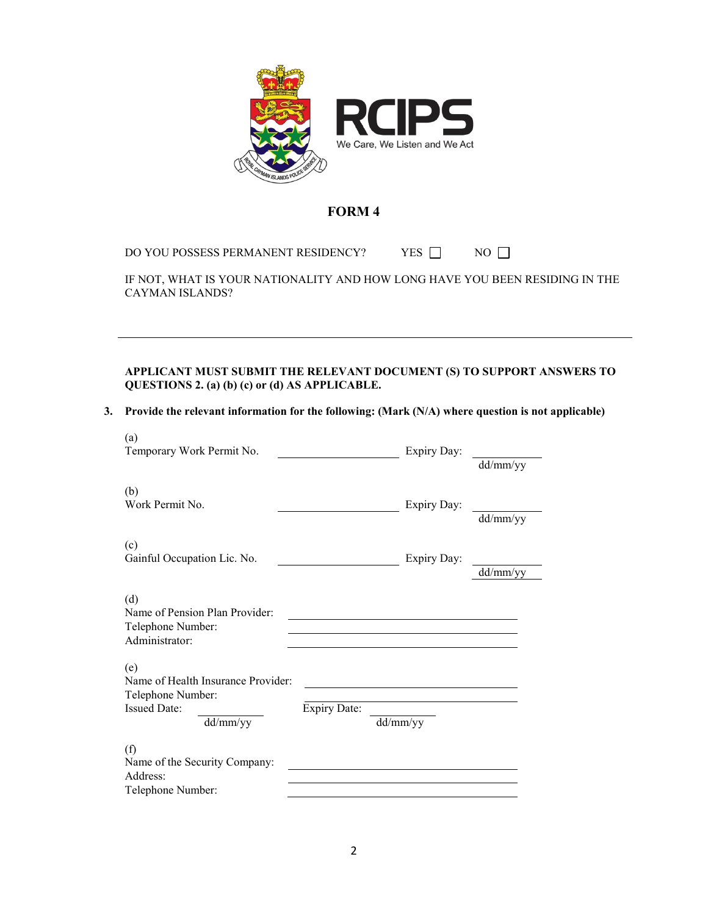

#### **FORM 4**

DO YOU POSSESS PERMANENT RESIDENCY? YES  $\Box$  NO  $\Box$ 

IF NOT, WHAT IS YOUR NATIONALITY AND HOW LONG HAVE YOU BEEN RESIDING IN THE CAYMAN ISLANDS?

**APPLICANT MUST SUBMIT THE RELEVANT DOCUMENT (S) TO SUPPORT ANSWERS TO QUESTIONS 2. (a) (b) (c) or (d) AS APPLICABLE.**

#### **3. Provide the relevant information for the following: (Mark (N/A) where question is not applicable)**

| (a)<br>Temporary Work Permit No.                                                                  |                     | Expiry Day:                                        | dd/mm/yy |
|---------------------------------------------------------------------------------------------------|---------------------|----------------------------------------------------|----------|
| (b)<br>Work Permit No.                                                                            |                     | Expiry Day:                                        | dd/mm/yy |
| (c)<br>Gainful Occupation Lic. No.                                                                |                     | Expiry Day:                                        | dd/mm/yy |
| (d)<br>Name of Pension Plan Provider:<br>Telephone Number:<br>Administrator:                      |                     | <u> 1989 - John Stein, Amerikaansk politiker (</u> |          |
| (e)<br>Name of Health Insurance Provider:<br>Telephone Number:<br><b>Issued Date:</b><br>dd/mm/yy | <b>Expiry Date:</b> | dd/mm/yy                                           |          |
| (f)<br>Name of the Security Company:<br>Address:<br>Telephone Number:                             |                     |                                                    |          |